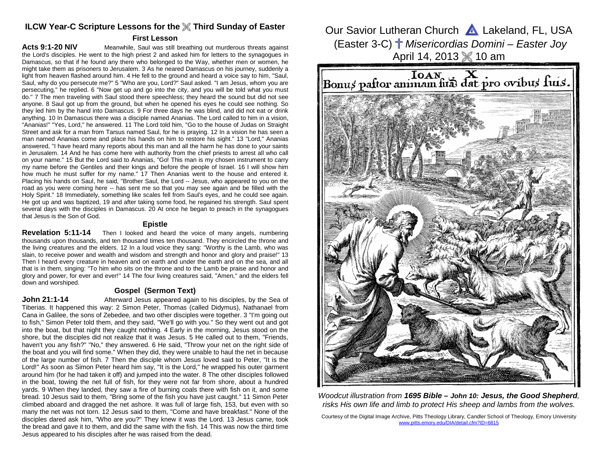# **ILCW Year-C Scripture Lessons for the Third Sunday of Easter**

### **First Lesson**

**Acts 9:1-20 NIV** Meanwhile, Saul was still breathing out murderous threats against the Lord's disciples. He went to the high priest 2 and asked him for letters to the synagogues in Damascus, so that if he found any there who belonged to the Way, whether men or women, he might take them as prisoners to Jerusalem. 3 As he neared Damascus on his journey, suddenly a light from heaven flashed around him. 4 He fell to the ground and heard a voice say to him, "Saul, Saul, why do you persecute me?" 5 "Who are you, Lord?" Saul asked. "I am Jesus, whom you are persecuting," he replied. 6 "Now get up and go into the city, and you will be told what you must do." 7 The men traveling with Saul stood there speechless; they heard the sound but did not see anyone. 8 Saul got up from the ground, but when he opened his eyes he could see nothing. So they led him by the hand into Damascus. 9 For three days he was blind, and did not eat or drink anything. 10 In Damascus there was a disciple named Ananias. The Lord called to him in a vision, "Ananias!" "Yes, Lord," he answered. 11 The Lord told him, "Go to the house of Judas on Straight Street and ask for a man from Tarsus named Saul, for he is praying. 12 In a vision he has seen a man named Ananias come and place his hands on him to restore his sight." 13 "Lord," Ananias answered, "I have heard many reports about this man and all the harm he has done to your saints in Jerusalem. 14 And he has come here with authority from the chief priests to arrest all who call on your name." 15 But the Lord said to Ananias, "Go! This man is my chosen instrument to carry my name before the Gentiles and their kings and before the people of Israel. 16 I will show him how much he must suffer for my name." 17 Then Ananias went to the house and entered it. Placing his hands on Saul, he said, "Brother Saul, the Lord -- Jesus, who appeared to you on the road as you were coming here -- has sent me so that you may see again and be filled with the Holy Spirit." 18 Immediately, something like scales fell from Saul's eyes, and he could see again. He got up and was baptized, 19 and after taking some food, he regained his strength. Saul spent several days with the disciples in Damascus. 20 At once he began to preach in the synagogues that Jesus is the Son of God.

#### **Epistle**

 **Revelation 5:11-14** Then I looked and heard the voice of many angels, numbering thousands upon thousands, and ten thousand times ten thousand. They encircled the throne and the living creatures and the elders. 12 In a loud voice they sang: "Worthy is the Lamb, who was slain, to receive power and wealth and wisdom and strength and honor and glory and praise!" 13 Then I heard every creature in heaven and on earth and under the earth and on the sea, and all that is in them, singing: "To him who sits on the throne and to the Lamb be praise and honor and glory and power, for ever and ever!" 14 The four living creatures said, "Amen," and the elders fell down and worshiped.

# **Gospel (Sermon Text)**

John 21:1-14 **Afterward Jesus appeared again to his disciples**, by the Sea of Tiberias. It happened this way: 2 Simon Peter, Thomas (called Didymus), Nathanael from Cana in Galilee, the sons of Zebedee, and two other disciples were together. 3 "I'm going out to fish," Simon Peter told them, and they said, "We'll go with you." So they went out and got into the boat, but that night they caught nothing. 4 Early in the morning, Jesus stood on the shore, but the disciples did not realize that it was Jesus. 5 He called out to them, "Friends, haven't you any fish?" "No," they answered. 6 He said, "Throw your net on the right side of the boat and you will find some." When they did, they were unable to haul the net in because of the large number of fish. 7 Then the disciple whom Jesus loved said to Peter, "It is the Lord!" As soon as Simon Peter heard him say, "It is the Lord," he wrapped his outer garment around him (for he had taken it off) and jumped into the water. 8 The other disciples followed in the boat, towing the net full of fish, for they were not far from shore, about a hundred yards. 9 When they landed, they saw a fire of burning coals there with fish on it, and some bread. 10 Jesus said to them, "Bring some of the fish you have just caught." 11 Simon Peter climbed aboard and dragged the net ashore. It was full of large fish, 153, but even with so many the net was not torn. 12 Jesus said to them, "Come and have breakfast." None of the disciples dared ask him, "Who are you?" They knew it was the Lord. 13 Jesus came, took the bread and gave it to them, and did the same with the fish. 14 This was now the third time Jesus appeared to his disciples after he was raised from the dead.

Our Savior Lutheran Church **A** Lakeland, FL, USA (Easter 3-C)  $\#$  Misericordias Domini – Easter Joy April 14, 2013 10 am



Woodcut illustration from **1695 Bible – John 10: Jesus, the Good Shepherd**, risks His own life and limb to protect His sheep and lambs from the wolves.

Courtesy of the Digital Image Archive, Pitts Theology Library, Candler School of Theology, Emory University www.pitts.emory.edu/DIA/detail.cfm?ID=6815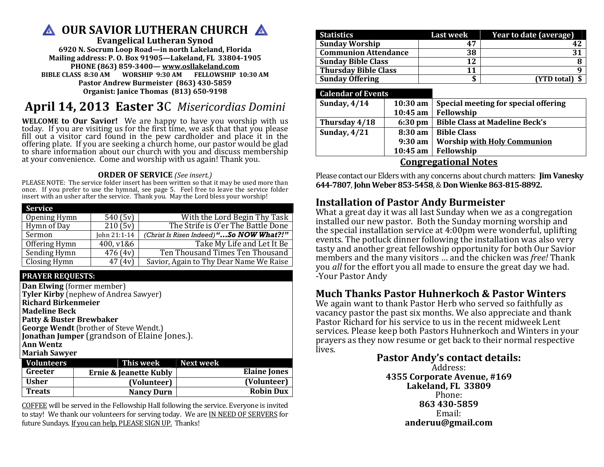# **A OUR SAVIOR LUTHERAN CHURCH A**

**Evangelical Lutheran Synod 6920 N. Socrum Loop Road—in north Lakeland, Florida Mailing address: P. O. Box 91905—Lakeland, FL 33804-1905 PHONE (863) 859-3400— www.osllakeland.comBIBLE CLASS 8:30 AM WORSHIP 9:30 AM FELLOWSHIP 10:30 AM** 

**Pastor Andrew Burmeister (863) 430-5859 Organist: Janice Thomas (813) 650-9198** 

# **April 14, 2013 Easter 3**C *Misericordias Domini*

**WELCOME to Our Savior!** We are happy to have you worship with us today. If you are visiting us for the first time, we ask that that you please fill out a visitor card found in the pew cardholder and place it in the offeri

## **ORDER OF SERVICE** *(See insert.)*

 PLEASE NOTE: The service folder insert has been written so that it may be used more than once. If you prefer to use the hymnal, see page 5. Feel free to leave the service folder insert with an usher after the service. Thank you. May the Lord bless your worship!

| <b>Service</b> |              |                                          |
|----------------|--------------|------------------------------------------|
| Opening Hymn   | 540(5v)      | With the Lord Begin Thy Task             |
| Hymn of Day    | 210(5v)      | The Strife is O'er The Battle Done       |
| Sermon         | John 21:1-14 | (Christ Is Risen Indeed) "So NOW What?!" |
| Offering Hymn  | 400, v1&6    | Take My Life and Let It Be               |
| Sending Hymn   | 476(4v)      | Ten Thousand Times Ten Thousand          |
| Closing Hymn   | 47(4v)       | Savior, Again to Thy Dear Name We Raise  |

# **PRAYER REQUESTS:**

**Dan Elwing** (former member) **Tyler Kirby** (nephew of Andrea Sawyer) **Richard Birkenmeier Madeline Beck Patty & Buster Brewbaker George Wendt** (brother of Steve Wendt.) **Jonathan Jumper** (grandson of Elaine Jones.). **Ann Wentz Mariah Sawyer** 

| <b>Volunteers</b> | This week Next week               |                     |
|-------------------|-----------------------------------|---------------------|
| Greeter           | <b>Ernie &amp; Jeanette Kubly</b> | <b>Elaine Jones</b> |
| <b>Usher</b>      | (Volunteer)                       | (Volunteer)         |
| <b>Treats</b>     | <b>Nancy Durn</b>                 | <b>Robin Dux</b>    |

COFFEE will be served in the Fellowship Hall following the service. Everyone is invited to stay! We thank our volunteers for serving today. We are IN NEED OF SERVERS for future Sundays. If you can help, PLEASE SIGN UP. Thanks!

| <b>Statistics</b>           | <b>Last week</b> | Year to date (average) |
|-----------------------------|------------------|------------------------|
| <b>Sunday Worship</b>       |                  |                        |
| <b>Communion Attendance</b> | 38               |                        |
| <b>Sunday Bible Class</b>   | 12               |                        |
| <b>Thursday Bible Class</b> |                  |                        |
| <b>Sunday Offering</b>      |                  | (YTD total) \$         |

### **Calendar of Events**

| Sunday, $4/14$              | $10:30$ am | Special meeting for special offering  |  |  |
|-----------------------------|------------|---------------------------------------|--|--|
|                             | $10:45$ am | Fellowship                            |  |  |
| Thursday 4/18               | 6:30 pm    | Bible Class at Madeline Beck's        |  |  |
| Sunday, $4/21$              |            | 8:30 am   Bible Class                 |  |  |
|                             |            | 9:30 am   Worship with Holy Communion |  |  |
|                             |            | 10:45 am   Fellowship                 |  |  |
| <b>Congregational Notes</b> |            |                                       |  |  |

 Please contact our Elders with any concerns about church matters: **Jim Vanesky 644-7807**, **John Weber 853-5458**, & **Don Wienke 863-815-8892.**

# **Installation of Pastor Andy Burmeister**

 What a great day it was all last Sunday when we as a congregation installed our new pastor. Both the Sunday morning worship and the special installation service at 4:00pm were wonderful, uplifting events. The potluck dinner following the installation was also very tasty and another great fellowship opportunity for both Our Savior members and the many visitors … and the chicken was *free!* Thank you *all* for the effort you all made to ensure the great day we had. -Your Pastor Andy

# **Much Thanks Pastor Huhnerkoch & Pastor Winters**

We again want to thank Pastor Herb who served so faithfully as vacancy pastor the past six months. We also appreciate and thank Pastor Richard for his service to us in the recent midweek Lent services. Please keep both Pastors Huhnerkoch and Winters in your prayers as they now resume or get back to their normal respective lives.

# **Pastor Andy's contact details:**

Address: **4355 Corporate Avenue, #169 Lakeland, FL 33809**Phone: **863 430-5859**Email: **anderuu@gmail.com**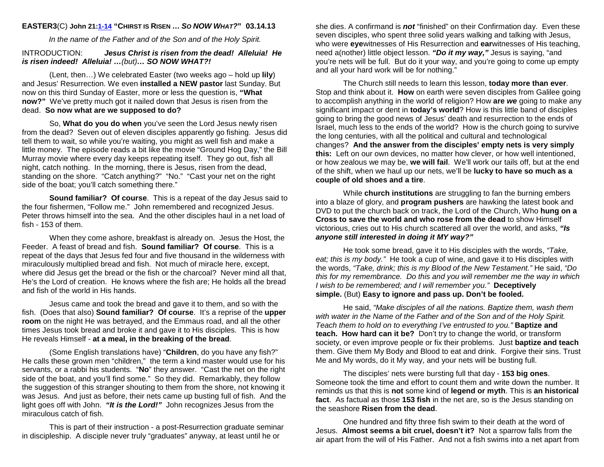### **EASTER3**(C) **John 21:1-14 "CHIRST IS RISEN …SO NOWWHAT?" 03.14.13**

In the name of the Father and of the Son and of the Holy Spirit.

#### INTRODUCTION: **Jesus Christ is risen from the dead! Alleluia! Heis risen indeed! Alleluia! …**(but)**… SO NOW WHAT?!**

(Lent, then…) We celebrated Easter (two weeks ago – hold up **lily**) and Jesus' Resurrection. We even **installed a NEW pastor** last Sunday. But now on this third Sunday of Easter, more or less the question is, **"What now?"** We've pretty much got it nailed down that Jesus is risen from the dead. **So now what are we supposed to do?** 

So, **What do you do when** you've seen the Lord Jesus newly risen from the dead? Seven out of eleven disciples apparently go fishing. Jesus did tell them to wait, so while you're waiting, you might as well fish and make a little money. The episode reads a bit like the movie "Ground Hog Day," the Bill Murray movie where every day keeps repeating itself. They go out, fish all night, catch nothing. In the morning, there is Jesus, risen from the dead, standing on the shore. "Catch anything?" "No." "Cast your net on the right side of the boat; you'll catch something there."

**Sound familiar? Of course**. This is a repeat of the day Jesus said to the four fishermen, "Follow me." John remembered and recognized Jesus. Peter throws himself into the sea. And the other disciples haul in a net load of fish - 153 of them.

When they come ashore, breakfast is already on. Jesus the Host, the Feeder. A feast of bread and fish. **Sound familiar? Of course**. This is a repeat of the days that Jesus fed four and five thousand in the wilderness with miraculously multiplied bread and fish. Not much of miracle here, except, where did Jesus get the bread or the fish or the charcoal? Never mind all that, He's the Lord of creation. He knows where the fish are; He holds all the bread and fish of the world in His hands.

Jesus came and took the bread and gave it to them, and so with the fish. (Does that also) **Sound familiar? Of course**. It's a reprise of the **upper room** on the night He was betrayed, and the Emmaus road, and all the other times Jesus took bread and broke it and gave it to His disciples. This is how He reveals Himself - **at a meal, in the breaking of the bread**.

(Some English translations have) "**Children**, do you have any fish?" He calls these grown men "children," the term a kind master would use for his servants, or a rabbi his students. "**No**" they answer. "Cast the net on the right side of the boat, and you'll find some." So they did. Remarkably, they follow the suggestion of this stranger shouting to them from the shore, not knowing it was Jesus. And just as before, their nets came up busting full of fish. And the light goes off with John. **"It is the Lord!"** John recognizes Jesus from the miraculous catch of fish.

This is part of their instruction - a post-Resurrection graduate seminar in discipleship. A disciple never truly "graduates" anyway, at least until he or

she dies. A confirmand is **not** "finished" on their Confirmation day. Even these seven disciples, who spent three solid years walking and talking with Jesus, who were **eye**witnesses of His Resurrection and **ear**witnesses of His teaching, need a(nother) little object lesson. **"Do it my way,"** Jesus is saying, "and you're nets will be full. But do it your way, and you're going to come up empty and all your hard work will be for nothing."

The Church still needs to learn this lesson, **today more than ever**. Stop and think about it. **How** on earth were seven disciples from Galilee going to accomplish anything in the world of religion? How **are we** going to make any significant impact or dent in **today's world**? How is this little band of disciples going to bring the good news of Jesus' death and resurrection to the ends of Israel, much less to the ends of the world? How is the church going to survive the long centuries, with all the political and cultural and technological changes? **And the answer from the disciples' empty nets is very simply this:** Left on our own devices, no matter how clever, or how well intentioned, or how zealous we may be, **we will fail**. We'll work our tails off, but at the end of the shift, when we haul up our nets, we'll be **lucky to have so much as a couple of old shoes and a tire**.

While **church institutions** are struggling to fan the burning embers into a blaze of glory, and **program pushers** are hawking the latest book and DVD to put the church back on track, the Lord of the Church, Who **hung on a Cross to save the world and who rose from the dead** to show Himself victorious, cries out to His church scattered all over the world, and asks, **"Is anyone still interested in doing it MY way?"**

He took some bread, gave it to His disciples with the words, "Take, eat; this is my body." He took a cup of wine, and gave it to His disciples with the words, "Take, drink; this is my Blood of the New Testament." He said, "Do this for my remembrance. Do this and you will remember me the way in which I wish to be remembered; and I will remember you." **Deceptively simple.** (But) **Easy to ignore and pass up. Don't be fooled.**

He said, "Make disciples of all the nations. Baptize them, wash them with water in the Name of the Father and of the Son and of the Holy Spirit. Teach them to hold on to everything I've entrusted to you." **Baptize and teach. How hard can it be?** Don't try to change the world, or transform society, or even improve people or fix their problems. Just **baptize and teach** them. Give them My Body and Blood to eat and drink. Forgive their sins. Trust Me and My words, do it My way, and your nets will be busting full.

The disciples' nets were bursting full that day - **153 big ones**. Someone took the time and effort to count them and write down the number. It reminds us that this is **not** some kind of **legend or myth**. This is **an historical fact**. As factual as those **153 fish** in the net are, so is the Jesus standing on the seashore **Risen from the dead**.

One hundred and fifty three fish swim to their death at the word of Jesus. **Almost seems a bit cruel, doesn't it?** Not a sparrow falls from the air apart from the will of His Father. And not a fish swims into a net apart from